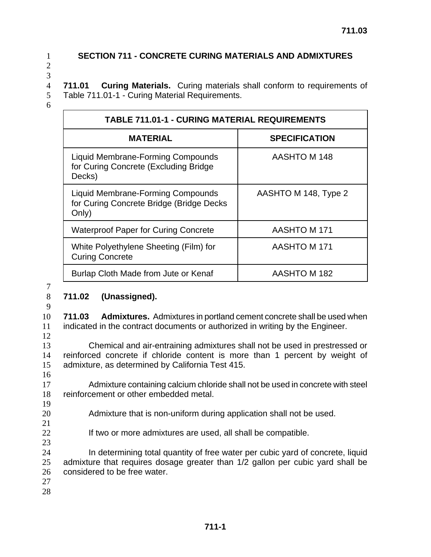2 3

## 1 **SECTION 711 - CONCRETE CURING MATERIALS AND ADMIXTURES**

4 **711.01 Curing Materials.** Curing materials shall conform to requirements of 5 Table 711.01-1 - Curing Material Requirements.

6

| <b>TABLE 711.01-1 - CURING MATERIAL REQUIREMENTS</b>                                          |                      |  |
|-----------------------------------------------------------------------------------------------|----------------------|--|
| <b>MATERIAL</b>                                                                               | <b>SPECIFICATION</b> |  |
| Liquid Membrane-Forming Compounds<br>for Curing Concrete (Excluding Bridge)<br>Decks)         | AASHTO M 148         |  |
| <b>Liquid Membrane-Forming Compounds</b><br>for Curing Concrete Bridge (Bridge Decks<br>Only) | AASHTO M 148, Type 2 |  |
| <b>Waterproof Paper for Curing Concrete</b>                                                   | AASHTO M 171         |  |
| White Polyethylene Sheeting (Film) for<br><b>Curing Concrete</b>                              | AASHTO M 171         |  |
| Burlap Cloth Made from Jute or Kenaf                                                          | AASHTO M 182         |  |

7

## 8 **711.02 (Unassigned).**

9

10 **711.03 Admixtures.** Admixtures in portland cement concrete shall be used when 11 indicated in the contract documents or authorized in writing by the Engineer.

12

16

21

23

13 Chemical and air-entraining admixtures shall not be used in prestressed or 14 reinforced concrete if chloride content is more than 1 percent by weight of 15 admixture, as determined by California Test 415.

17 Admixture containing calcium chloride shall not be used in concrete with steel 18 reinforcement or other embedded metal. 19

- 20 Admixture that is non-uniform during application shall not be used.
- 22 If two or more admixtures are used, all shall be compatible.

24 In determining total quantity of free water per cubic yard of concrete, liquid 25 admixture that requires dosage greater than 1/2 gallon per cubic yard shall be 26 considered to be free water.

- 27
- 28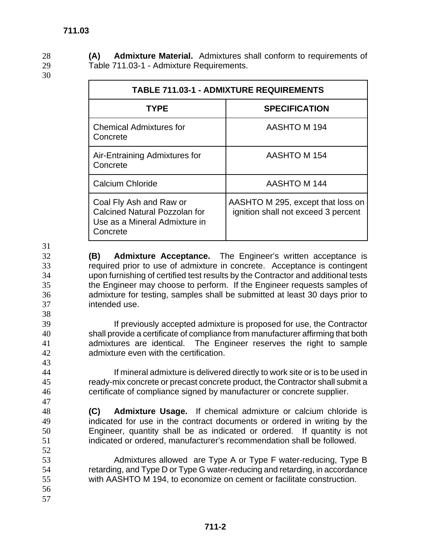**(A) Admixture Material.** Admixtures shall conform to requirements of Table 711.03-1 - Admixture Requirements.

| <b>TABLE 711.03-1 - ADMIXTURE REQUIREMENTS</b>                                                        |                                                                          |
|-------------------------------------------------------------------------------------------------------|--------------------------------------------------------------------------|
| <b>TYPE</b>                                                                                           | <b>SPECIFICATION</b>                                                     |
| <b>Chemical Admixtures for</b><br>Concrete                                                            | AASHTO M 194                                                             |
| Air-Entraining Admixtures for<br>Concrete                                                             | AASHTO M 154                                                             |
| <b>Calcium Chloride</b>                                                                               | AASHTO M 144                                                             |
| Coal Fly Ash and Raw or<br>Calcined Natural Pozzolan for<br>Use as a Mineral Admixture in<br>Concrete | AASHTO M 295, except that loss on<br>ignition shall not exceed 3 percent |

**(B) Admixture Acceptance.** The Engineer's written acceptance is required prior to use of admixture in concrete. Acceptance is contingent upon furnishing of certified test results by the Contractor and additional tests the Engineer may choose to perform. If the Engineer requests samples of admixture for testing, samples shall be submitted at least 30 days prior to intended use.

If previously accepted admixture is proposed for use, the Contractor shall provide a certificate of compliance from manufacturer affirming that both admixtures are identical. The Engineer reserves the right to sample admixture even with the certification.

If mineral admixture is delivered directly to work site or is to be used in ready-mix concrete or precast concrete product, the Contractor shall submit a certificate of compliance signed by manufacturer or concrete supplier.

**(C) Admixture Usage.** If chemical admixture or calcium chloride is indicated for use in the contract documents or ordered in writing by the Engineer, quantity shall be as indicated or ordered. If quantity is not indicated or ordered, manufacturer's recommendation shall be followed.

Admixtures allowed are Type A or Type F water-reducing, Type B retarding, and Type D or Type G water-reducing and retarding, in accordance with AASHTO M 194, to economize on cement or facilitate construction.